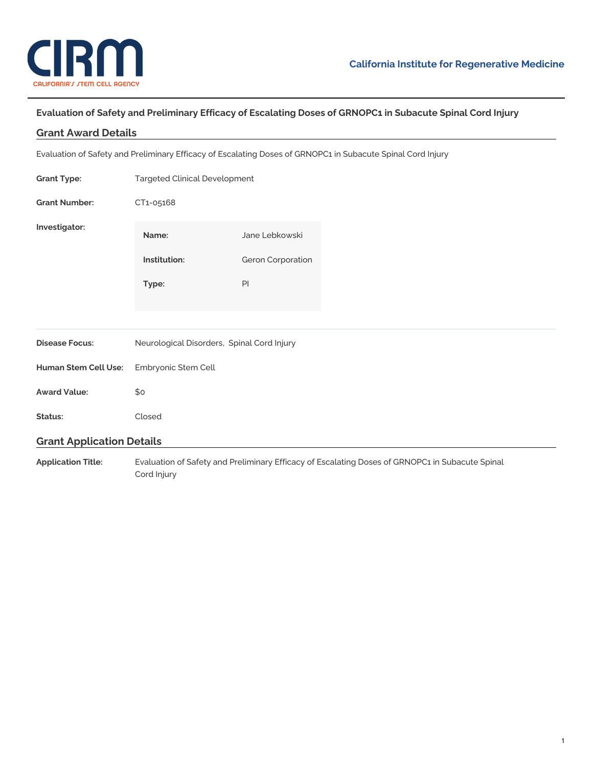

## **Evaluation of Safety and Preliminary Efficacy of Escalating Doses of GRNOPC1 in Subacute Spinal Cord Injury**

## **Grant Award Details**

Evaluation of Safety and Preliminary Efficacy of Escalating Doses of GRNOPC1 in Subacute Spinal Cord Injury

| <b>Grant Type:</b>               | <b>Targeted Clinical Development</b>                                                            |                                     |  |
|----------------------------------|-------------------------------------------------------------------------------------------------|-------------------------------------|--|
| <b>Grant Number:</b>             | CT1-05168                                                                                       |                                     |  |
| Investigator:                    | Name:<br>Institution:                                                                           | Jane Lebkowski<br>Geron Corporation |  |
|                                  | Type:                                                                                           | PI                                  |  |
| <b>Disease Focus:</b>            | Neurological Disorders, Spinal Cord Injury                                                      |                                     |  |
| Human Stem Cell Use:             | Embryonic Stem Cell                                                                             |                                     |  |
| <b>Award Value:</b>              | \$o                                                                                             |                                     |  |
| Status:                          | Closed                                                                                          |                                     |  |
| <b>Grant Application Details</b> |                                                                                                 |                                     |  |
| <b>Application Title:</b>        | Evaluation of Safety and Preliminary Efficacy of Escalating Doses of GRNOPC1 in Subacute Spinal |                                     |  |

Cord Injury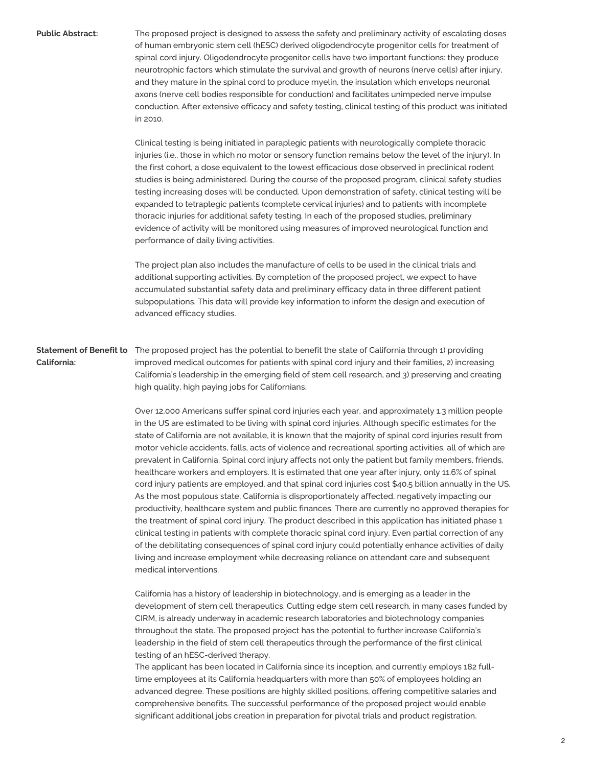**Public Abstract:** The proposed project is designed to assess the safety and preliminary activity of escalating doses of human embryonic stem cell (hESC) derived oligodendrocyte progenitor cells for treatment of spinal cord injury. Oligodendrocyte progenitor cells have two important functions: they produce neurotrophic factors which stimulate the survival and growth of neurons (nerve cells) after injury, and they mature in the spinal cord to produce myelin, the insulation which envelops neuronal axons (nerve cell bodies responsible for conduction) and facilitates unimpeded nerve impulse conduction. After extensive efficacy and safety testing, clinical testing of this product was initiated in 2010.

> Clinical testing is being initiated in paraplegic patients with neurologically complete thoracic injuries (i.e., those in which no motor or sensory function remains below the level of the injury). In the first cohort, a dose equivalent to the lowest efficacious dose observed in preclinical rodent studies is being administered. During the course of the proposed program, clinical safety studies testing increasing doses will be conducted. Upon demonstration of safety, clinical testing will be expanded to tetraplegic patients (complete cervical injuries) and to patients with incomplete thoracic injuries for additional safety testing. In each of the proposed studies, preliminary evidence of activity will be monitored using measures of improved neurological function and performance of daily living activities.

The project plan also includes the manufacture of cells to be used in the clinical trials and additional supporting activities. By completion of the proposed project, we expect to have accumulated substantial safety data and preliminary efficacy data in three different patient subpopulations. This data will provide key information to inform the design and execution of advanced efficacy studies.

**Statement of Benefit to** The proposed project has the potential to benefit the state of California through 1) providing **California:** improved medical outcomes for patients with spinal cord injury and their families, 2) increasing California's leadership in the emerging field of stem cell research, and 3) preserving and creating high quality, high paying jobs for Californians.

> Over 12,000 Americans suffer spinal cord injuries each year, and approximately 1.3 million people in the US are estimated to be living with spinal cord injuries. Although specific estimates for the state of California are not available, it is known that the majority of spinal cord injuries result from motor vehicle accidents, falls, acts of violence and recreational sporting activities, all of which are prevalent in California. Spinal cord injury affects not only the patient but family members, friends, healthcare workers and employers. It is estimated that one year after injury, only 11.6% of spinal cord injury patients are employed, and that spinal cord injuries cost \$40.5 billion annually in the US. As the most populous state, California is disproportionately affected, negatively impacting our productivity, healthcare system and public finances. There are currently no approved therapies for the treatment of spinal cord injury. The product described in this application has initiated phase 1 clinical testing in patients with complete thoracic spinal cord injury. Even partial correction of any of the debilitating consequences of spinal cord injury could potentially enhance activities of daily living and increase employment while decreasing reliance on attendant care and subsequent medical interventions.

> California has a history of leadership in biotechnology, and is emerging as a leader in the development of stem cell therapeutics. Cutting edge stem cell research, in many cases funded by CIRM, is already underway in academic research laboratories and biotechnology companies throughout the state. The proposed project has the potential to further increase California's leadership in the field of stem cell therapeutics through the performance of the first clinical testing of an hESC-derived therapy.

The applicant has been located in California since its inception, and currently employs 182 fulltime employees at its California headquarters with more than 50% of employees holding an advanced degree. These positions are highly skilled positions, offering competitive salaries and comprehensive benefits. The successful performance of the proposed project would enable significant additional jobs creation in preparation for pivotal trials and product registration.